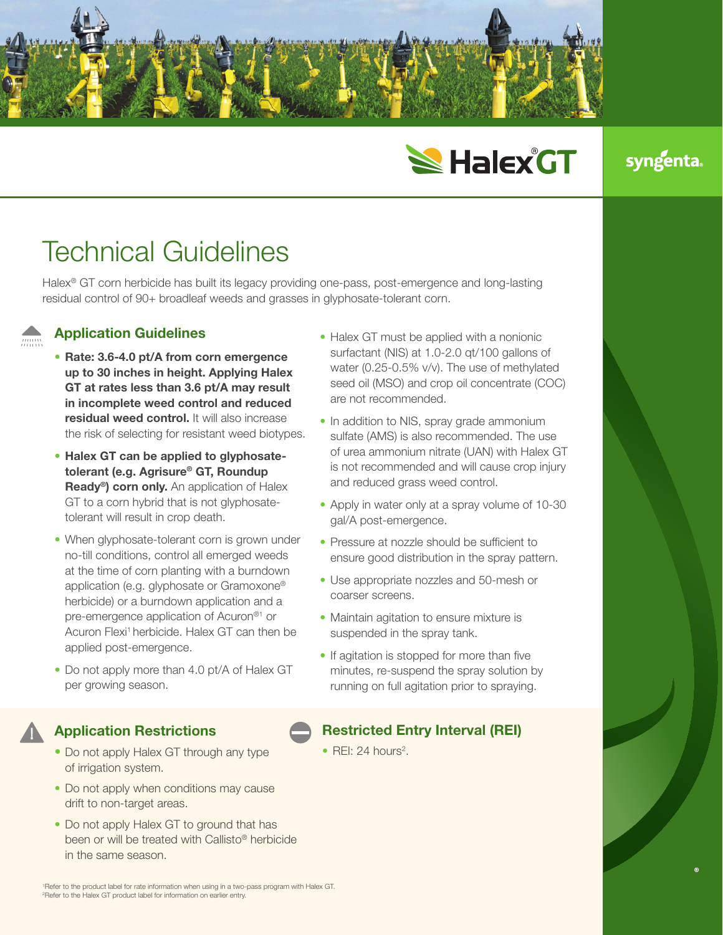

# **SHalex GT**

### **syngenta**

## Technical Guidelines

Halex® GT corn herbicide has built its legacy providing one-pass, post-emergence and long-lasting residual control of 90+ broadleaf weeds and grasses in glyphosate-tolerant corn.

#### Application Guidelines

- Rate: 3.6-4.0 pt/A from corn emergence up to 30 inches in height. Applying Halex GT at rates less than 3.6 pt/A may result in incomplete weed control and reduced residual weed control. It will also increase the risk of selecting for resistant weed biotypes.
- Halex GT can be applied to glyphosatetolerant (e.g. Agrisure® GT, Roundup Ready<sup>®</sup>) corn only. An application of Halex GT to a corn hybrid that is not glyphosatetolerant will result in crop death.
- When glyphosate-tolerant corn is grown under no-till conditions, control all emerged weeds at the time of corn planting with a burndown application (e.g. glyphosate or Gramoxone® herbicide) or a burndown application and a pre-emergence application of Acuron®1 or Acuron Flexi<sup>1</sup> herbicide. Halex GT can then be applied post-emergence.
- Do not apply more than 4.0 pt/A of Halex GT per growing season.

#### Application Restrictions

- Do not apply Halex GT through any type of irrigation system.
- Do not apply when conditions may cause drift to non-target areas.
- Do not apply Halex GT to ground that has been or will be treated with Callisto® herbicide in the same season.

• Halex GT must be applied with a nonionic surfactant (NIS) at 1.0-2.0 qt/100 gallons of water (0.25-0.5% v/v). The use of methylated seed oil (MSO) and crop oil concentrate (COC) are not recommended.

- In addition to NIS, spray grade ammonium sulfate (AMS) is also recommended. The use of urea ammonium nitrate (UAN) with Halex GT is not recommended and will cause crop injury and reduced grass weed control.
- Apply in water only at a spray volume of 10-30 gal/A post-emergence.
- Pressure at nozzle should be sufficient to ensure good distribution in the spray pattern.
- Use appropriate nozzles and 50-mesh or coarser screens.
- Maintain agitation to ensure mixture is suspended in the spray tank.
- If agitation is stopped for more than five minutes, re-suspend the spray solution by running on full agitation prior to spraying.

#### Restricted Entry Interval (REI)

 $\bullet$  REI: 24 hours<sup>2</sup>.

1 Refer to the product label for rate information when using in a two-pass program with Halex GT. 2 Refer to the Halex GT product label for information on earlier entry.